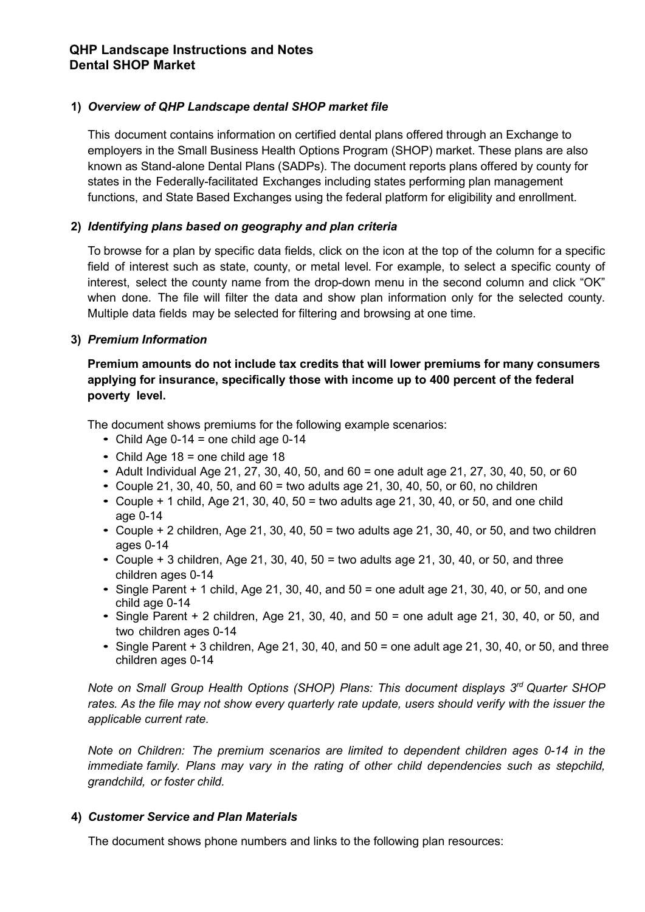# **1)** *Overview of QHP Landscape dental SHOP market file*

This document contains information on certified dental plans offered through an Exchange to employers in the Small Business Health Options Program (SHOP) market. These plans are also known as Stand-alone Dental Plans (SADPs). The document reports plans offered by county for states in the Federally-facilitated Exchanges including states performing plan management functions, and State Based Exchanges using the federal platform for eligibility and enrollment.

## **2)** *Identifying plans based on geography and plan criteria*

To browse for a plan by specific data fields, click on the icon at the top of the column for a specific field of interest such as state, county, or metal level. For example, to select a specific county of interest, select the county name from the drop-down menu in the second column and click "OK" when done. The file will filter the data and show plan information only for the selected county. Multiple data fields may be selected for filtering and browsing at one time.

### **3)** *Premium Information*

### **Premium amounts do not include tax credits that will lower premiums for many consumers applying for insurance, specifically those with income up to 400 percent of the federal poverty level.**

The document shows premiums for the following example scenarios:

- Child Age 0-14 = one child age  $0-14$
- Child Age  $18 =$  one child age  $18$
- Adult Individual Age 21, 27, 30, 40, 50, and 60 = one adult age 21, 27, 30, 40, 50, or 60
- Couple 21, 30, 40, 50, and  $60 =$  two adults age 21, 30, 40, 50, or 60, no children
- Couple  $+$  1 child, Age 21, 30, 40, 50 = two adults age 21, 30, 40, or 50, and one child age 0-14
- Couple  $+ 2$  children, Age 21, 30, 40, 50 = two adults age 21, 30, 40, or 50, and two children ages 0-14
- Couple  $+3$  children, Age 21, 30, 40, 50 = two adults age 21, 30, 40, or 50, and three children ages 0-14
- Single Parent  $+$  1 child, Age 21, 30, 40, and 50 = one adult age 21, 30, 40, or 50, and one child age 0-14
- Single Parent  $+2$  children, Age 21, 30, 40, and 50 = one adult age 21, 30, 40, or 50, and two children ages 0-14
- Single Parent  $+3$  children, Age 21, 30, 40, and  $50 =$  one adult age 21, 30, 40, or 50, and three children ages 0-14

*Note on Small Group Health Options (SHOP) Plans: This document displays 3rd Quarter SHOP rates. As the file may not show every quarterly rate update, users should verify with the issuer the applicable current rate.*

*Note on Children: The premium scenarios are limited to dependent children ages 0-14 in the immediate family. Plans may vary in the rating of other child dependencies such as stepchild, grandchild, or foster child.* 

#### **4)** *Customer Service and Plan Materials*

The document shows phone numbers and links to the following plan resources: